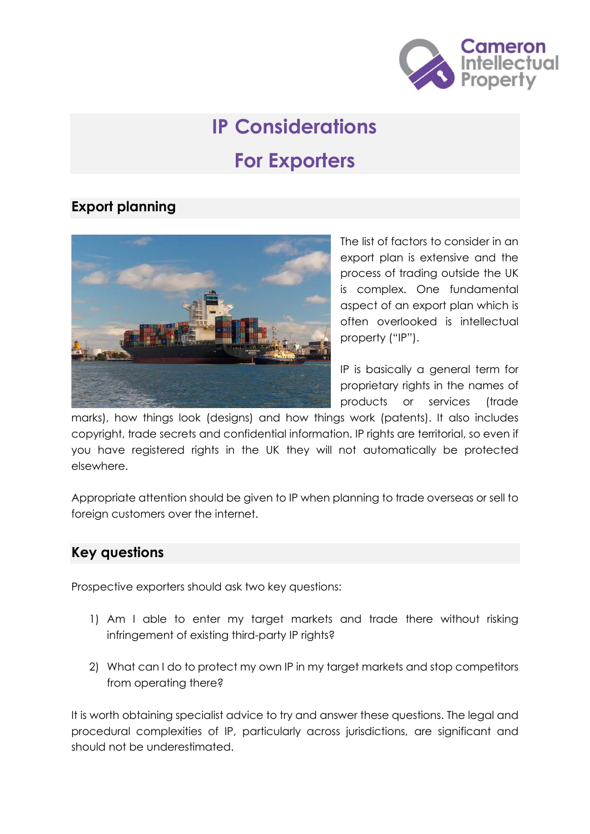

# **IP Considerations For Exporters**

## **Export planning**



The list of factors to consider in an export plan is extensive and the process of trading outside the UK is complex. One fundamental aspect of an export plan which is often overlooked is intellectual property ("IP").

IP is basically a general term for proprietary rights in the names of products or services (trade

marks), how things look (designs) and how things work (patents). It also includes copyright, trade secrets and confidential information. IP rights are territorial, so even if you have registered rights in the UK they will not automatically be protected elsewhere.

Appropriate attention should be given to IP when planning to trade overseas or sell to foreign customers over the internet.

### **Key questions**

Prospective exporters should ask two key questions:

- 1) Am I able to enter my target markets and trade there without risking infringement of existing third-party IP rights?
- 2) What can I do to protect my own IP in my target markets and stop competitors from operating there?

It is worth obtaining specialist advice to try and answer these questions. The legal and procedural complexities of IP, particularly across jurisdictions, are significant and should not be underestimated.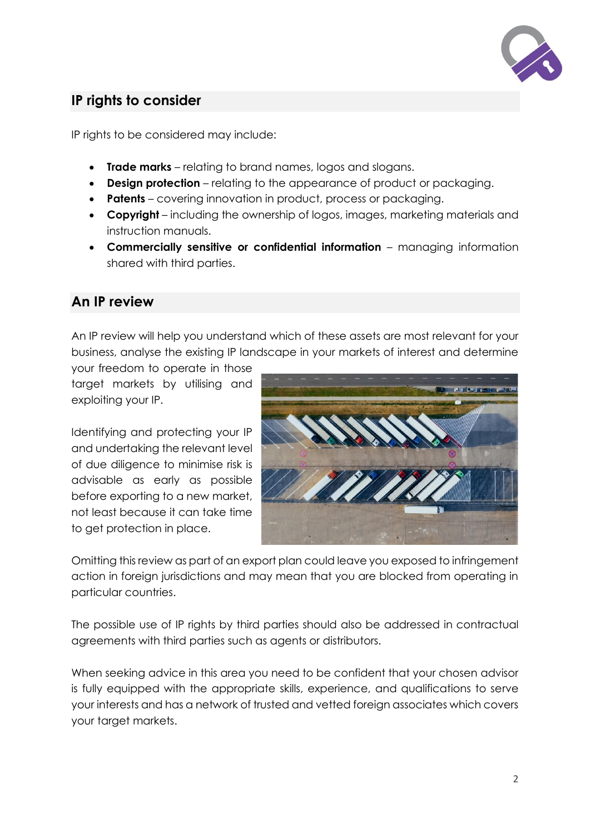

# **IP rights to consider**

IP rights to be considered may include:

- **Trade marks** relating to brand names, logos and slogans.
- **Design protection** relating to the appearance of product or packaging.
- **Patents** covering innovation in product, process or packaging.
- **Copyright** including the ownership of logos, images, marketing materials and instruction manuals.
- **Commercially sensitive or confidential information** managing information shared with third parties.

### **An IP review**

An IP review will help you understand which of these assets are most relevant for your business, analyse the existing IP landscape in your markets of interest and determine

your freedom to operate in those target markets by utilising and exploiting your IP.

Identifying and protecting your IP and undertaking the relevant level of due diligence to minimise risk is advisable as early as possible before exporting to a new market, not least because it can take time to get protection in place.



Omitting this review as part of an export plan could leave you exposed to infringement action in foreign jurisdictions and may mean that you are blocked from operating in particular countries.

The possible use of IP rights by third parties should also be addressed in contractual agreements with third parties such as agents or distributors.

When seeking advice in this area you need to be confident that your chosen advisor is fully equipped with the appropriate skills, experience, and qualifications to serve your interests and has a network of trusted and vetted foreign associates which covers your target markets.